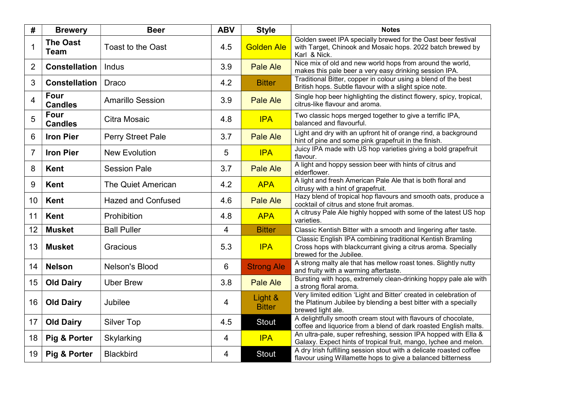| #              | <b>Brewery</b>                 | <b>Beer</b>               | <b>ABV</b>     | <b>Style</b>             | <b>Notes</b>                                                                                                                                              |
|----------------|--------------------------------|---------------------------|----------------|--------------------------|-----------------------------------------------------------------------------------------------------------------------------------------------------------|
| $\overline{1}$ | <b>The Oast</b><br><b>Team</b> | <b>Toast to the Oast</b>  | 4.5            | <b>Golden Ale</b>        | Golden sweet IPA specially brewed for the Oast beer festival<br>with Target, Chinook and Mosaic hops. 2022 batch brewed by<br>Karl & Nick.                |
| $\overline{2}$ | <b>Constellation</b>           | Indus                     | 3.9            | <b>Pale Ale</b>          | Nice mix of old and new world hops from around the world,<br>makes this pale beer a very easy drinking session IPA.                                       |
| 3              | <b>Constellation</b>           | <b>Draco</b>              | 4.2            | <b>Bitter</b>            | Traditional Bitter, copper in colour using a blend of the best<br>British hops. Subtle flavour with a slight spice note.                                  |
| $\overline{4}$ | Four<br><b>Candles</b>         | <b>Amarillo Session</b>   | 3.9            | <b>Pale Ale</b>          | Single hop beer highlighting the distinct flowery, spicy, tropical,<br>citrus-like flavour and aroma.                                                     |
| 5              | <b>Four</b><br><b>Candles</b>  | Citra Mosaic              | 4.8            | <b>IPA</b>               | Two classic hops merged together to give a terrific IPA,<br>balanced and flavourful.                                                                      |
| 6              | <b>Iron Pier</b>               | <b>Perry Street Pale</b>  | 3.7            | <b>Pale Ale</b>          | Light and dry with an upfront hit of orange rind, a background<br>hint of pine and some pink grapefruit in the finish.                                    |
| $\overline{7}$ | <b>Iron Pier</b>               | <b>New Evolution</b>      | 5              | <b>IPA</b>               | Juicy IPA made with US hop varieties giving a bold grapefruit<br>flavour.                                                                                 |
| 8              | <b>Kent</b>                    | <b>Session Pale</b>       | 3.7            | <b>Pale Ale</b>          | A light and hoppy session beer with hints of citrus and<br>elderflower.                                                                                   |
| 9              | <b>Kent</b>                    | <b>The Quiet American</b> | 4.2            | <b>APA</b>               | A light and fresh American Pale Ale that is both floral and<br>citrusy with a hint of grapefruit.                                                         |
| 10             | <b>Kent</b>                    | <b>Hazed and Confused</b> | 4.6            | <b>Pale Ale</b>          | Hazy blend of tropical hop flavours and smooth oats, produce a<br>cocktail of citrus and stone fruit aromas.                                              |
| 11             | <b>Kent</b>                    | Prohibition               | 4.8            | <b>APA</b>               | A citrusy Pale Ale highly hopped with some of the latest US hop<br>varieties.                                                                             |
| 12             | <b>Musket</b>                  | <b>Ball Puller</b>        | 4              | <b>Bitter</b>            | Classic Kentish Bitter with a smooth and lingering after taste.                                                                                           |
| 13             | <b>Musket</b>                  | Gracious                  | 5.3            | <b>IPA</b>               | Classic English IPA combining traditional Kentish Bramling<br>Cross hops with blackcurrant giving a citrus aroma. Specially<br>brewed for the Jubilee.    |
| 14             | <b>Nelson</b>                  | Nelson's Blood            | $6\phantom{1}$ | <b>Strong Ale</b>        | A strong malty ale that has mellow roast tones. Slightly nutty<br>and fruity with a warming aftertaste.                                                   |
| 15             | <b>Old Dairy</b>               | <b>Uber Brew</b>          | 3.8            | <b>Pale Ale</b>          | Bursting with hops, extremely clean-drinking hoppy pale ale with<br>a strong floral aroma.                                                                |
| 16             | <b>Old Dairy</b>               | Jubilee                   | 4              | Light &<br><b>Bitter</b> | Very limited edition 'Light and Bitter' created in celebration of<br>the Platinum Jubilee by blending a best bitter with a specially<br>brewed light ale. |
| 17             | <b>Old Dairy</b>               | <b>Silver Top</b>         | 4.5            | <b>Stout</b>             | A delightfully smooth cream stout with flavours of chocolate,<br>coffee and liquorice from a blend of dark roasted English malts.                         |
| 18             | <b>Pig &amp; Porter</b>        | Skylarking                | 4              | <b>IPA</b>               | An ultra-pale, super refreshing, session IPA hopped with Ella &<br>Galaxy. Expect hints of tropical fruit, mango, lychee and melon.                       |
| 19             | Pig & Porter                   | <b>Blackbird</b>          | 4              | Stout                    | A dry Irish fulfilling session stout with a delicate roasted coffee<br>flavour using Willamette hops to give a balanced bitterness                        |